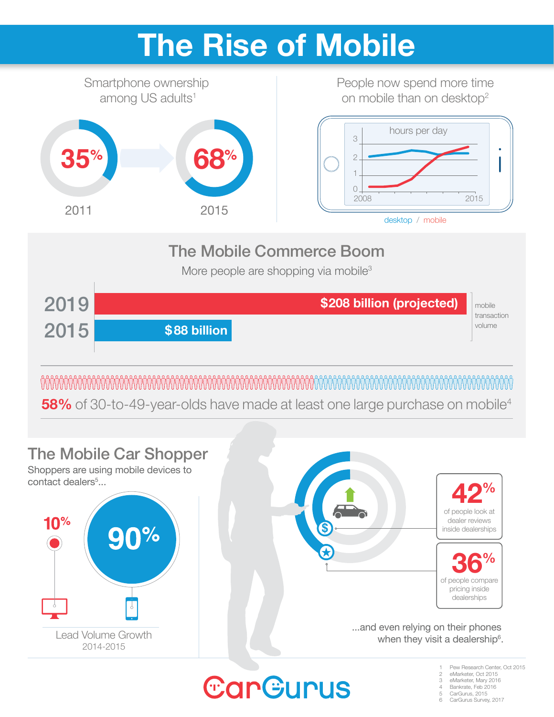### **The Rise of Mobile**



**58%** of 30-to-49-year-olds have made at least one large purchase on mobile<sup>4</sup>



Bankrate, Feb 2016

CarGurus, 2015 CarGurus Survey, 2017